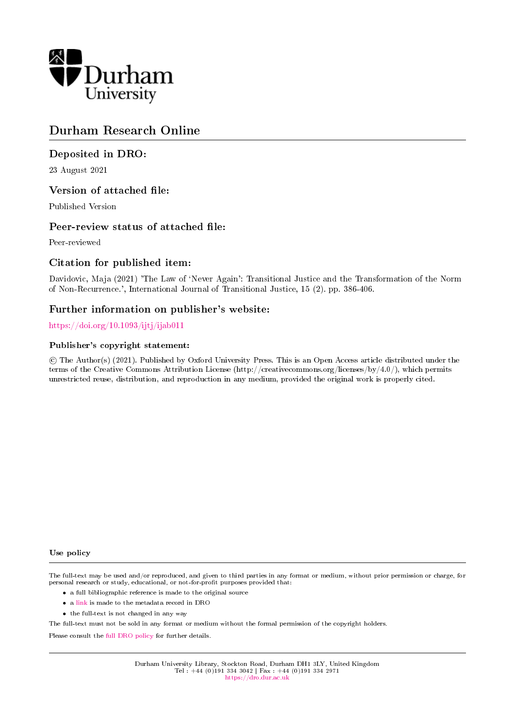

## Durham Research Online

## Deposited in DRO:

23 August 2021

## Version of attached file:

Published Version

## Peer-review status of attached file:

Peer-reviewed

## Citation for published item:

Davidovic, Maja (2021) 'The Law of `Never Again': Transitional Justice and the Transformation of the Norm of Non-Recurrence.', International Journal of Transitional Justice, 15 (2). pp. 386-406.

## Further information on publisher's website:

<https://doi.org/10.1093/ijtj/ijab011>

#### Publisher's copyright statement:

 c The Author(s) (2021). Published by Oxford University Press. This is an Open Access article distributed under the terms of the Creative Commons Attribution License (http://creativecommons.org/licenses/by/4.0/), which permits unrestricted reuse, distribution, and reproduction in any medium, provided the original work is properly cited.

#### Use policy

The full-text may be used and/or reproduced, and given to third parties in any format or medium, without prior permission or charge, for personal research or study, educational, or not-for-profit purposes provided that:

- a full bibliographic reference is made to the original source
- a [link](http://dro.dur.ac.uk/33635/) is made to the metadata record in DRO
- the full-text is not changed in any way

The full-text must not be sold in any format or medium without the formal permission of the copyright holders.

Please consult the [full DRO policy](https://dro.dur.ac.uk/policies/usepolicy.pdf) for further details.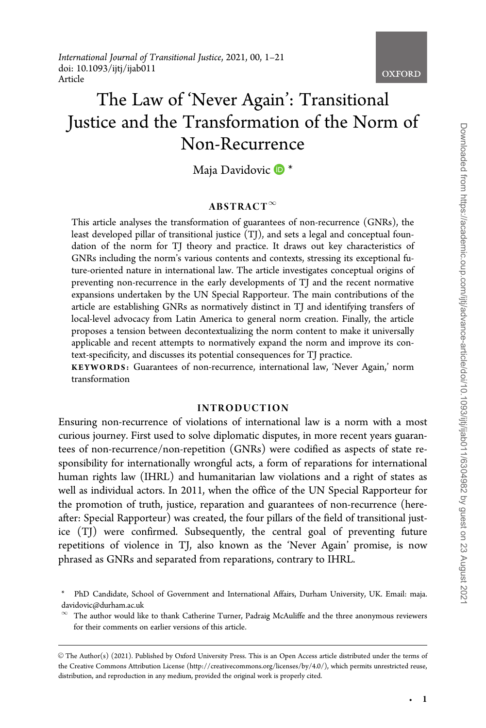International Journal of Transitional Justice, 2021, 00, 1–21 doi: 10.1093/ijtj/ijab011 Article

# The Law of 'Never Again': Transitional Justice and the Transformation of the Norm of Non-Recurrence

Maja Davidovic  $\mathbb{D}^*$ 

#### $ABSTRACT^{\infty}$

This article analyses the transformation of guarantees of non-recurrence (GNRs), the least developed pillar of transitional justice (TJ), and sets a legal and conceptual foundation of the norm for TJ theory and practice. It draws out key characteristics of GNRs including the norm's various contents and contexts, stressing its exceptional future-oriented nature in international law. The article investigates conceptual origins of preventing non-recurrence in the early developments of TJ and the recent normative expansions undertaken by the UN Special Rapporteur. The main contributions of the article are establishing GNRs as normatively distinct in TJ and identifying transfers of local-level advocacy from Latin America to general norm creation. Finally, the article proposes a tension between decontextualizing the norm content to make it universally applicable and recent attempts to normatively expand the norm and improve its context-specificity, and discusses its potential consequences for TJ practice.

KEYWORDS: Guarantees of non-recurrence, international law, 'Never Again,' norm transformation

#### INTRODUCTION

Ensuring non-recurrence of violations of international law is a norm with a most curious journey. First used to solve diplomatic disputes, in more recent years guarantees of non-recurrence/non-repetition (GNRs) were codified as aspects of state responsibility for internationally wrongful acts, a form of reparations for international human rights law (IHRL) and humanitarian law violations and a right of states as well as individual actors. In 2011, when the office of the UN Special Rapporteur for the promotion of truth, justice, reparation and guarantees of non-recurrence (hereafter: Special Rapporteur) was created, the four pillars of the field of transitional justice (TJ) were confirmed. Subsequently, the central goal of preventing future repetitions of violence in TJ, also known as the 'Never Again' promise, is now phrased as GNRs and separated from reparations, contrary to IHRL.

**OXFORD** 

<sup>\*</sup> PhD Candidate, School of Government and International Affairs, Durham University, UK. Email: maja. davidovic@durham.ac.uk

 $\infty$  The author would like to thank Catherine Turner, Padraig McAuliffe and the three anonymous reviewers for their comments on earlier versions of this article.

V<sup>C</sup> The Author(s) (2021). Published by Oxford University Press. This is an Open Access article distributed under the terms of the Creative Commons Attribution License (http://creativecommons.org/licenses/by/4.0/), which permits unrestricted reuse, distribution, and reproduction in any medium, provided the original work is properly cited.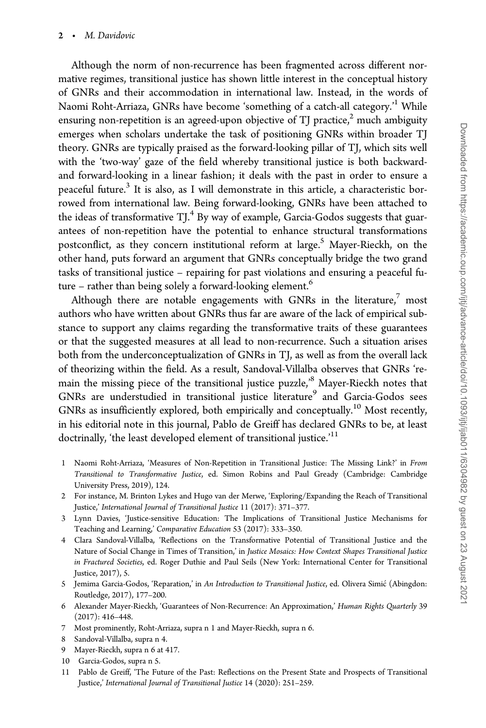Although the norm of non-recurrence has been fragmented across different normative regimes, transitional justice has shown little interest in the conceptual history of GNRs and their accommodation in international law. Instead, in the words of Naomi Roht-Arriaza, GNRs have become 'something of a catch-all category.<sup>1</sup> While ensuring non-repetition is an agreed-upon objective of TI practice, $\alpha^2$  much ambiguity emerges when scholars undertake the task of positioning GNRs within broader TJ theory. GNRs are typically praised as the forward-looking pillar of TJ, which sits well with the 'two-way' gaze of the field whereby transitional justice is both backwardand forward-looking in a linear fashion; it deals with the past in order to ensure a peaceful future.<sup>3</sup> It is also, as I will demonstrate in this article, a characteristic borrowed from international law. Being forward-looking, GNRs have been attached to the ideas of transformative  $TI^4$  By way of example, Garcia-Godos suggests that guarantees of non-repetition have the potential to enhance structural transformations postconflict, as they concern institutional reform at large.<sup>5</sup> Mayer-Rieckh, on the other hand, puts forward an argument that GNRs conceptually bridge the two grand tasks of transitional justice – repairing for past violations and ensuring a peaceful future – rather than being solely a forward-looking element.<sup>6</sup>

Although there are notable engagements with GNRs in the literature, $\frac{7}{1}$  most authors who have written about GNRs thus far are aware of the lack of empirical substance to support any claims regarding the transformative traits of these guarantees or that the suggested measures at all lead to non-recurrence. Such a situation arises both from the underconceptualization of GNRs in TJ, as well as from the overall lack of theorizing within the field. As a result, Sandoval-Villalba observes that GNRs 'remain the missing piece of the transitional justice puzzle,'8 Mayer-Rieckh notes that GNRs are understudied in transitional justice literature<sup>9</sup> and Garcia-Godos sees GNRs as insufficiently explored, both empirically and conceptually.<sup>10</sup> Most recently, in his editorial note in this journal, Pablo de Greiff has declared GNRs to be, at least doctrinally, 'the least developed element of transitional justice.'<sup>11</sup>

- 1 Naomi Roht-Arriaza, 'Measures of Non-Repetition in Transitional Justice: The Missing Link?' in From Transitional to Transformative Justice, ed. Simon Robins and Paul Gready (Cambridge: Cambridge University Press, 2019), 124.
- 2 For instance, M. Brinton Lykes and Hugo van der Merwe, 'Exploring/Expanding the Reach of Transitional Justice,' International Journal of Transitional Justice 11 (2017): 371–377.
- 3 Lynn Davies, 'Justice-sensitive Education: The Implications of Transitional Justice Mechanisms for Teaching and Learning,' Comparative Education 53 (2017): 333–350.
- 4 Clara Sandoval-Villalba, 'Reflections on the Transformative Potential of Transitional Justice and the Nature of Social Change in Times of Transition,' in Justice Mosaics: How Context Shapes Transitional Justice in Fractured Societies, ed. Roger Duthie and Paul Seils (New York: International Center for Transitional Justice, 2017), 5.
- 5 Jemima Garcia-Godos, 'Reparation,' in An Introduction to Transitional Justice, ed. Olivera Simić (Abingdon: Routledge, 2017), 177–200.
- 6 Alexander Mayer-Rieckh, 'Guarantees of Non-Recurrence: An Approximation,' Human Rights Quarterly 39 (2017): 416–448.
- 7 Most prominently, Roht-Arriaza, supra n 1 and Mayer-Rieckh, supra n 6.
- 8 Sandoval-Villalba, supra n 4.
- 9 Mayer-Rieckh, supra n 6 at 417.
- 10 Garcia-Godos, supra n 5.
- 11 Pablo de Greiff, 'The Future of the Past: Reflections on the Present State and Prospects of Transitional Justice,' International Journal of Transitional Justice 14 (2020): 251–259.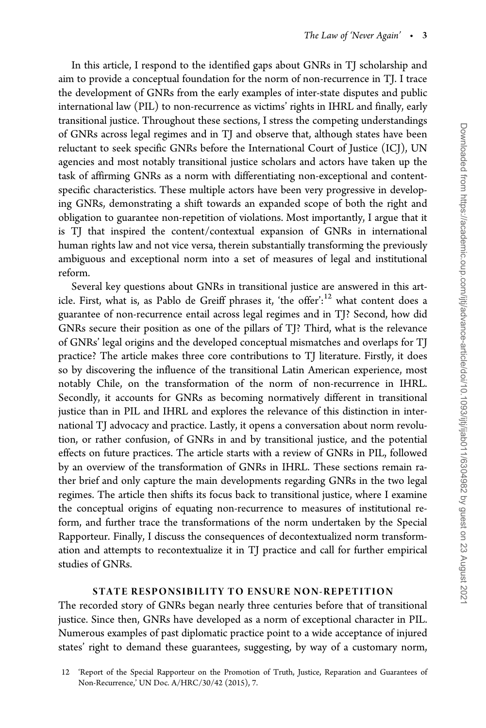In this article, I respond to the identified gaps about GNRs in TJ scholarship and aim to provide a conceptual foundation for the norm of non-recurrence in TJ. I trace the development of GNRs from the early examples of inter-state disputes and public international law (PIL) to non-recurrence as victims' rights in IHRL and finally, early transitional justice. Throughout these sections, I stress the competing understandings of GNRs across legal regimes and in TJ and observe that, although states have been reluctant to seek specific GNRs before the International Court of Justice (ICJ), UN agencies and most notably transitional justice scholars and actors have taken up the task of affirming GNRs as a norm with differentiating non-exceptional and contentspecific characteristics. These multiple actors have been very progressive in developing GNRs, demonstrating a shift towards an expanded scope of both the right and obligation to guarantee non-repetition of violations. Most importantly, I argue that it is TJ that inspired the content/contextual expansion of GNRs in international human rights law and not vice versa, therein substantially transforming the previously ambiguous and exceptional norm into a set of measures of legal and institutional reform.

Several key questions about GNRs in transitional justice are answered in this article. First, what is, as Pablo de Greiff phrases it, 'the offer':<sup>12</sup> what content does a guarantee of non-recurrence entail across legal regimes and in TJ? Second, how did GNRs secure their position as one of the pillars of TJ? Third, what is the relevance of GNRs' legal origins and the developed conceptual mismatches and overlaps for TJ practice? The article makes three core contributions to TJ literature. Firstly, it does so by discovering the influence of the transitional Latin American experience, most notably Chile, on the transformation of the norm of non-recurrence in IHRL. Secondly, it accounts for GNRs as becoming normatively different in transitional justice than in PIL and IHRL and explores the relevance of this distinction in international TJ advocacy and practice. Lastly, it opens a conversation about norm revolution, or rather confusion, of GNRs in and by transitional justice, and the potential effects on future practices. The article starts with a review of GNRs in PIL, followed by an overview of the transformation of GNRs in IHRL. These sections remain rather brief and only capture the main developments regarding GNRs in the two legal regimes. The article then shifts its focus back to transitional justice, where I examine the conceptual origins of equating non-recurrence to measures of institutional reform, and further trace the transformations of the norm undertaken by the Special Rapporteur. Finally, I discuss the consequences of decontextualized norm transformation and attempts to recontextualize it in TJ practice and call for further empirical studies of GNRs.

#### STATE RESPONSIBILITY TO ENSURE NON-REPETITION

The recorded story of GNRs began nearly three centuries before that of transitional justice. Since then, GNRs have developed as a norm of exceptional character in PIL. Numerous examples of past diplomatic practice point to a wide acceptance of injured states' right to demand these guarantees, suggesting, by way of a customary norm,

<sup>12 &#</sup>x27;Report of the Special Rapporteur on the Promotion of Truth, Justice, Reparation and Guarantees of Non-Recurrence,' UN Doc. A/HRC/30/42 (2015), 7.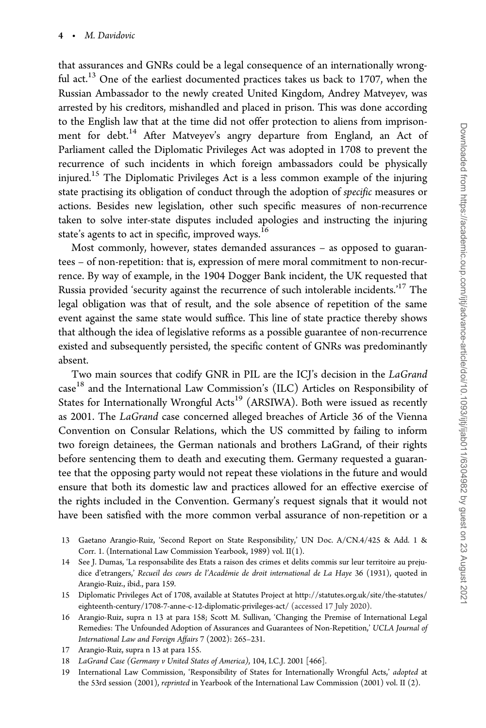that assurances and GNRs could be a legal consequence of an internationally wrongful act.<sup>13</sup> One of the earliest documented practices takes us back to 1707, when the Russian Ambassador to the newly created United Kingdom, Andrey Matveyev, was arrested by his creditors, mishandled and placed in prison. This was done according to the English law that at the time did not offer protection to aliens from imprisonment for debt.<sup>14</sup> After Matveyev's angry departure from England, an Act of Parliament called the Diplomatic Privileges Act was adopted in 1708 to prevent the recurrence of such incidents in which foreign ambassadors could be physically injured.15 The Diplomatic Privileges Act is a less common example of the injuring state practising its obligation of conduct through the adoption of *specific* measures or actions. Besides new legislation, other such specific measures of non-recurrence taken to solve inter-state disputes included apologies and instructing the injuring state's agents to act in specific, improved ways.<sup>16</sup>

Most commonly, however, states demanded assurances – as opposed to guarantees – of non-repetition: that is, expression of mere moral commitment to non-recurrence. By way of example, in the 1904 Dogger Bank incident, the UK requested that Russia provided 'security against the recurrence of such intolerable incidents.'17 The legal obligation was that of result, and the sole absence of repetition of the same event against the same state would suffice. This line of state practice thereby shows that although the idea of legislative reforms as a possible guarantee of non-recurrence existed and subsequently persisted, the specific content of GNRs was predominantly absent.

Two main sources that codify GNR in PIL are the ICJ's decision in the LaGrand case18 and the International Law Commission's (ILC) Articles on Responsibility of States for Internationally Wrongful Acts<sup>19</sup> (ARSIWA). Both were issued as recently as 2001. The LaGrand case concerned alleged breaches of Article 36 of the Vienna Convention on Consular Relations, which the US committed by failing to inform two foreign detainees, the German nationals and brothers LaGrand, of their rights before sentencing them to death and executing them. Germany requested a guarantee that the opposing party would not repeat these violations in the future and would ensure that both its domestic law and practices allowed for an effective exercise of the rights included in the Convention. Germany's request signals that it would not have been satisfied with the more common verbal assurance of non-repetition or a

- 13 Gaetano Arangio-Ruiz, 'Second Report on State Responsibility,' UN Doc. A/CN.4/425 & Add. 1 & Corr. 1. (International Law Commission Yearbook, 1989) vol. II(1).
- 14 See J. Dumas, 'La responsabilite des Etats a raison des crimes et delits commis sur leur territoire au prejudice d'etrangers,' Recueil des cours de l'Académie de droit international de La Haye 36 (1931), quoted in Arangio-Ruiz., ibid., para 159.
- 15 Diplomatic Privileges Act of 1708, available at Statutes Project at [http://statutes.org.uk/site/the-statutes/](http://statutes.org.uk/site/the-statutes/eighteenth-century/1708-7-anne-c-12-diplomatic-privileges-act/) [eighteenth-century/1708-7-anne-c-12-diplomatic-privileges-act/](http://statutes.org.uk/site/the-statutes/eighteenth-century/1708-7-anne-c-12-diplomatic-privileges-act/) (accessed 17 July 2020).
- 16 Arangio-Ruiz, supra n 13 at para 158; Scott M. Sullivan, 'Changing the Premise of International Legal Remedies: The Unfounded Adoption of Assurances and Guarantees of Non-Repetition,' UCLA Journal of International Law and Foreign Affairs 7 (2002): 265–231.
- 17 Arangio-Ruiz, supra n 13 at para 155.
- 18 LaGrand Case (Germany v United States of America), 104, I.C.J. 2001 [466].
- 19 International Law Commission, 'Responsibility of States for Internationally Wrongful Acts,' adopted at the 53rd session (2001), reprinted in Yearbook of the International Law Commission (2001) vol. II (2).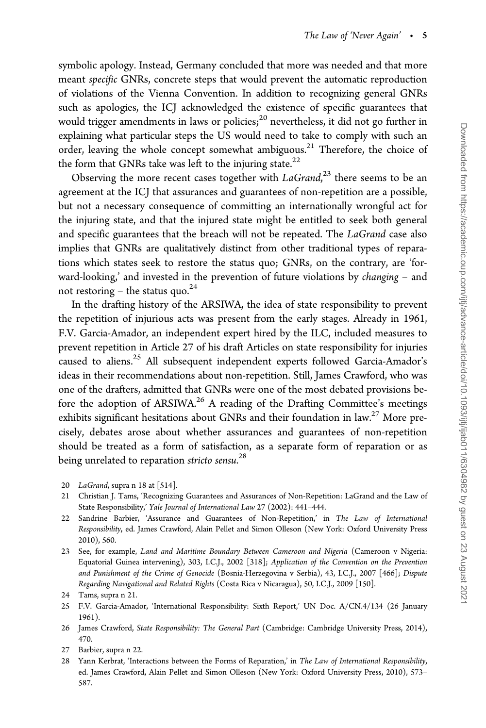symbolic apology. Instead, Germany concluded that more was needed and that more meant specific GNRs, concrete steps that would prevent the automatic reproduction of violations of the Vienna Convention. In addition to recognizing general GNRs such as apologies, the ICJ acknowledged the existence of specific guarantees that would trigger amendments in laws or policies; $^{20}$  nevertheless, it did not go further in explaining what particular steps the US would need to take to comply with such an order, leaving the whole concept somewhat ambiguous.<sup>21</sup> Therefore, the choice of the form that GNRs take was left to the injuring state.<sup>22</sup>

Observing the more recent cases together with  $LaGrand,$ <sup>23</sup> there seems to be an agreement at the ICJ that assurances and guarantees of non-repetition are a possible, but not a necessary consequence of committing an internationally wrongful act for the injuring state, and that the injured state might be entitled to seek both general and specific guarantees that the breach will not be repeated. The LaGrand case also implies that GNRs are qualitatively distinct from other traditional types of reparations which states seek to restore the status quo; GNRs, on the contrary, are 'forward-looking,' and invested in the prevention of future violations by changing – and not restoring – the status quo. $^{24}$ 

In the drafting history of the ARSIWA, the idea of state responsibility to prevent the repetition of injurious acts was present from the early stages. Already in 1961, F.V. Garcia-Amador, an independent expert hired by the ILC, included measures to prevent repetition in Article 27 of his draft Articles on state responsibility for injuries caused to aliens.25 All subsequent independent experts followed Garcia-Amador's ideas in their recommendations about non-repetition. Still, James Crawford, who was one of the drafters, admitted that GNRs were one of the most debated provisions before the adoption of ARSIWA.<sup>26</sup> A reading of the Drafting Committee's meetings exhibits significant hesitations about GNRs and their foundation in  $law<sup>27</sup>$  More precisely, debates arose about whether assurances and guarantees of non-repetition should be treated as a form of satisfaction, as a separate form of reparation or as being unrelated to reparation *stricto sensu*.<sup>28</sup>

- 20 LaGrand, supra n 18 at [514].
- 21 Christian J. Tams, 'Recognizing Guarantees and Assurances of Non-Repetition: LaGrand and the Law of State Responsibility,' Yale Journal of International Law 27 (2002): 441–444.
- 22 Sandrine Barbier, 'Assurance and Guarantees of Non-Repetition,' in The Law of International Responsibility, ed. James Crawford, Alain Pellet and Simon Olleson (New York: Oxford University Press 2010), 560.
- 23 See, for example, Land and Maritime Boundary Between Cameroon and Nigeria (Cameroon v Nigeria: Equatorial Guinea intervening), 303, I.C.J., 2002 [318]; Application of the Convention on the Prevention and Punishment of the Crime of Genocide (Bosnia-Herzegovina v Serbia), 43, I.C.J., 2007 [466]; Dispute Regarding Navigational and Related Rights (Costa Rica v Nicaragua), 50, I.C.J., 2009 [150].

- 25 F.V. Garcia-Amador, 'International Responsibility: Sixth Report,' UN Doc. A/CN.4/134 (26 January 1961).
- 26 James Crawford, State Responsibility: The General Part (Cambridge: Cambridge University Press, 2014), 470.
- 27 Barbier, supra n 22.
- 28 Yann Kerbrat, 'Interactions between the Forms of Reparation,' in The Law of International Responsibility, ed. James Crawford, Alain Pellet and Simon Olleson (New York: Oxford University Press, 2010), 573– 587.

<sup>24</sup> Tams, supra n 21.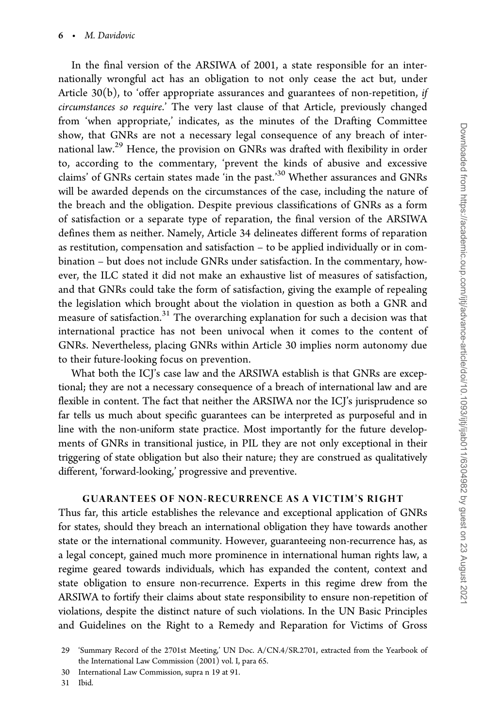In the final version of the ARSIWA of 2001, a state responsible for an internationally wrongful act has an obligation to not only cease the act but, under Article 30(b), to 'offer appropriate assurances and guarantees of non-repetition, if circumstances so require.' The very last clause of that Article, previously changed from 'when appropriate,' indicates, as the minutes of the Drafting Committee show, that GNRs are not a necessary legal consequence of any breach of international law.<sup>29</sup> Hence, the provision on GNRs was drafted with flexibility in order to, according to the commentary, 'prevent the kinds of abusive and excessive claims' of GNRs certain states made 'in the past.'<sup>30</sup> Whether assurances and GNRs will be awarded depends on the circumstances of the case, including the nature of the breach and the obligation. Despite previous classifications of GNRs as a form of satisfaction or a separate type of reparation, the final version of the ARSIWA defines them as neither. Namely, Article 34 delineates different forms of reparation as restitution, compensation and satisfaction – to be applied individually or in combination – but does not include GNRs under satisfaction. In the commentary, however, the ILC stated it did not make an exhaustive list of measures of satisfaction, and that GNRs could take the form of satisfaction, giving the example of repealing the legislation which brought about the violation in question as both a GNR and measure of satisfaction.<sup>31</sup> The overarching explanation for such a decision was that international practice has not been univocal when it comes to the content of GNRs. Nevertheless, placing GNRs within Article 30 implies norm autonomy due to their future-looking focus on prevention.

What both the ICJ's case law and the ARSIWA establish is that GNRs are exceptional; they are not a necessary consequence of a breach of international law and are flexible in content. The fact that neither the ARSIWA nor the ICJ's jurisprudence so far tells us much about specific guarantees can be interpreted as purposeful and in line with the non-uniform state practice. Most importantly for the future developments of GNRs in transitional justice, in PIL they are not only exceptional in their triggering of state obligation but also their nature; they are construed as qualitatively different, 'forward-looking,' progressive and preventive.

#### GUARANTEES OF NON-RECURRENCE AS A VICTIM'S RIGHT

Thus far, this article establishes the relevance and exceptional application of GNRs for states, should they breach an international obligation they have towards another state or the international community. However, guaranteeing non-recurrence has, as a legal concept, gained much more prominence in international human rights law, a regime geared towards individuals, which has expanded the content, context and state obligation to ensure non-recurrence. Experts in this regime drew from the ARSIWA to fortify their claims about state responsibility to ensure non-repetition of violations, despite the distinct nature of such violations. In the UN Basic Principles and Guidelines on the Right to a Remedy and Reparation for Victims of Gross

30 International Law Commission, supra n 19 at 91.

31 Ibid.

<sup>29 &#</sup>x27;Summary Record of the 2701st Meeting,' UN Doc. A/CN.4/SR.2701, extracted from the Yearbook of the International Law Commission (2001) vol. I, para 65.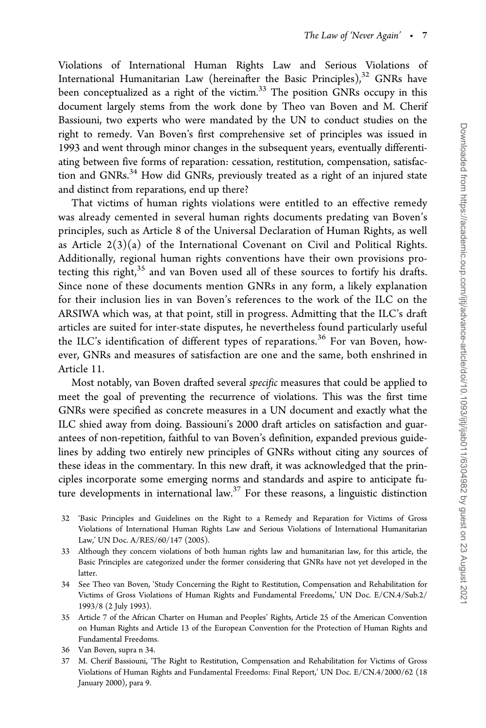Violations of International Human Rights Law and Serious Violations of International Humanitarian Law (hereinafter the Basic Principles), $32$  GNRs have been conceptualized as a right of the victim.<sup>33</sup> The position GNRs occupy in this document largely stems from the work done by Theo van Boven and M. Cherif Bassiouni, two experts who were mandated by the UN to conduct studies on the right to remedy. Van Boven's first comprehensive set of principles was issued in 1993 and went through minor changes in the subsequent years, eventually differentiating between five forms of reparation: cessation, restitution, compensation, satisfaction and GNRs.<sup>34</sup> How did GNRs, previously treated as a right of an injured state and distinct from reparations, end up there?

That victims of human rights violations were entitled to an effective remedy was already cemented in several human rights documents predating van Boven's principles, such as Article 8 of the Universal Declaration of Human Rights, as well as Article  $2(3)(a)$  of the International Covenant on Civil and Political Rights. Additionally, regional human rights conventions have their own provisions protecting this right,<sup>35</sup> and van Boven used all of these sources to fortify his drafts. Since none of these documents mention GNRs in any form, a likely explanation for their inclusion lies in van Boven's references to the work of the ILC on the ARSIWA which was, at that point, still in progress. Admitting that the ILC's draft articles are suited for inter-state disputes, he nevertheless found particularly useful the ILC's identification of different types of reparations.<sup>36</sup> For van Boven, however, GNRs and measures of satisfaction are one and the same, both enshrined in Article 11.

Most notably, van Boven drafted several specific measures that could be applied to meet the goal of preventing the recurrence of violations. This was the first time GNRs were specified as concrete measures in a UN document and exactly what the ILC shied away from doing. Bassiouni's 2000 draft articles on satisfaction and guarantees of non-repetition, faithful to van Boven's definition, expanded previous guidelines by adding two entirely new principles of GNRs without citing any sources of these ideas in the commentary. In this new draft, it was acknowledged that the principles incorporate some emerging norms and standards and aspire to anticipate future developments in international law.37 For these reasons, a linguistic distinction

- 32 'Basic Principles and Guidelines on the Right to a Remedy and Reparation for Victims of Gross Violations of International Human Rights Law and Serious Violations of International Humanitarian Law,' UN Doc. A/RES/60/147 (2005).
- 33 Although they concern violations of both human rights law and humanitarian law, for this article, the Basic Principles are categorized under the former considering that GNRs have not yet developed in the latter.
- 34 See Theo van Boven, 'Study Concerning the Right to Restitution, Compensation and Rehabilitation for Victims of Gross Violations of Human Rights and Fundamental Freedoms,' UN Doc. E/CN.4/Sub.2/ 1993/8 (2 July 1993).
- 35 Article 7 of the African Charter on Human and Peoples' Rights, Article 25 of the American Convention on Human Rights and Article 13 of the European Convention for the Protection of Human Rights and Fundamental Freedoms.
- 36 Van Boven, supra n 34.
- 37 M. Cherif Bassiouni, 'The Right to Restitution, Compensation and Rehabilitation for Victims of Gross Violations of Human Rights and Fundamental Freedoms: Final Report,' UN Doc. E/CN.4/2000/62 (18 January 2000), para 9.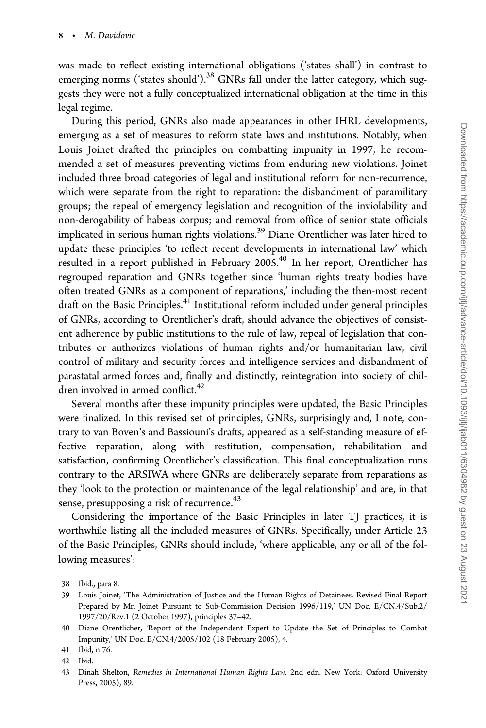was made to reflect existing international obligations ('states shall') in contrast to emerging norms ('states should').<sup>38</sup> GNRs fall under the latter category, which suggests they were not a fully conceptualized international obligation at the time in this legal regime.

During this period, GNRs also made appearances in other IHRL developments, emerging as a set of measures to reform state laws and institutions. Notably, when Louis Joinet drafted the principles on combatting impunity in 1997, he recommended a set of measures preventing victims from enduring new violations. Joinet included three broad categories of legal and institutional reform for non-recurrence, which were separate from the right to reparation: the disbandment of paramilitary groups; the repeal of emergency legislation and recognition of the inviolability and non-derogability of habeas corpus; and removal from office of senior state officials implicated in serious human rights violations.<sup>39</sup> Diane Orentlicher was later hired to update these principles 'to reflect recent developments in international law' which resulted in a report published in February 2005.<sup>40</sup> In her report, Orentlicher has regrouped reparation and GNRs together since 'human rights treaty bodies have often treated GNRs as a component of reparations,' including the then-most recent draft on the Basic Principles.<sup>41</sup> Institutional reform included under general principles of GNRs, according to Orentlicher's draft, should advance the objectives of consistent adherence by public institutions to the rule of law, repeal of legislation that contributes or authorizes violations of human rights and/or humanitarian law, civil control of military and security forces and intelligence services and disbandment of parastatal armed forces and, finally and distinctly, reintegration into society of children involved in armed conflict.<sup>42</sup>

Several months after these impunity principles were updated, the Basic Principles were finalized. In this revised set of principles, GNRs, surprisingly and, I note, contrary to van Boven's and Bassiouni's drafts, appeared as a self-standing measure of effective reparation, along with restitution, compensation, rehabilitation and satisfaction, confirming Orentlicher's classification. This final conceptualization runs contrary to the ARSIWA where GNRs are deliberately separate from reparations as they 'look to the protection or maintenance of the legal relationship' and are, in that sense, presupposing a risk of recurrence.<sup>43</sup>

Considering the importance of the Basic Principles in later TJ practices, it is worthwhile listing all the included measures of GNRs. Specifically, under Article 23 of the Basic Principles, GNRs should include, 'where applicable, any or all of the following measures':

43 Dinah Shelton, Remedies in International Human Rights Law. 2nd edn. New York: Oxford University Press, 2005), 89.

<sup>38</sup> Ibid., para 8.

<sup>39</sup> Louis Joinet, 'The Administration of Justice and the Human Rights of Detainees. Revised Final Report Prepared by Mr. Joinet Pursuant to Sub-Commission Decision 1996/119,' UN Doc. E/CN.4/Sub.2/ 1997/20/Rev.1 (2 October 1997), principles 37–42.

<sup>40</sup> Diane Orentlicher, 'Report of the Independent Expert to Update the Set of Principles to Combat Impunity,' UN Doc. E/CN.4/2005/102 (18 February 2005), 4.

<sup>41</sup> Ibid, n 76.

<sup>42</sup> Ibid.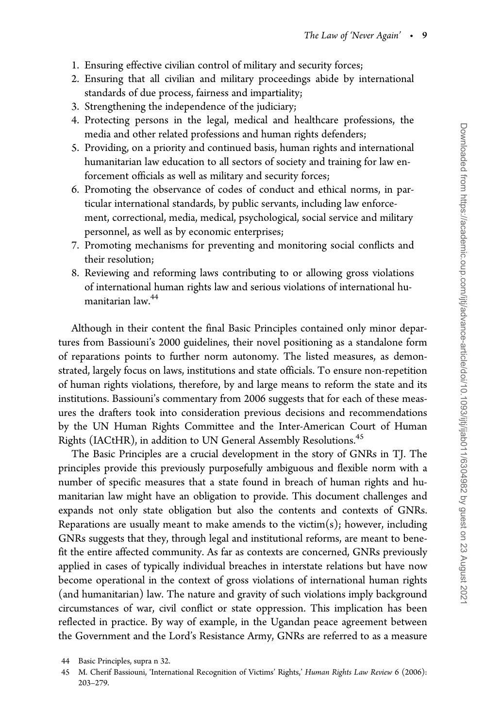- 1. Ensuring effective civilian control of military and security forces;
- 2. Ensuring that all civilian and military proceedings abide by international standards of due process, fairness and impartiality;
- 3. Strengthening the independence of the judiciary;
- 4. Protecting persons in the legal, medical and healthcare professions, the media and other related professions and human rights defenders;
- 5. Providing, on a priority and continued basis, human rights and international humanitarian law education to all sectors of society and training for law enforcement officials as well as military and security forces;
- 6. Promoting the observance of codes of conduct and ethical norms, in particular international standards, by public servants, including law enforcement, correctional, media, medical, psychological, social service and military personnel, as well as by economic enterprises;
- 7. Promoting mechanisms for preventing and monitoring social conflicts and their resolution;
- 8. Reviewing and reforming laws contributing to or allowing gross violations of international human rights law and serious violations of international humanitarian law.44

Although in their content the final Basic Principles contained only minor departures from Bassiouni's 2000 guidelines, their novel positioning as a standalone form of reparations points to further norm autonomy. The listed measures, as demonstrated, largely focus on laws, institutions and state officials. To ensure non-repetition of human rights violations, therefore, by and large means to reform the state and its institutions. Bassiouni's commentary from 2006 suggests that for each of these measures the drafters took into consideration previous decisions and recommendations by the UN Human Rights Committee and the Inter-American Court of Human Rights (IACtHR), in addition to UN General Assembly Resolutions.<sup>45</sup>

The Basic Principles are a crucial development in the story of GNRs in TJ. The principles provide this previously purposefully ambiguous and flexible norm with a number of specific measures that a state found in breach of human rights and humanitarian law might have an obligation to provide. This document challenges and expands not only state obligation but also the contents and contexts of GNRs. Reparations are usually meant to make amends to the victim $(s)$ ; however, including GNRs suggests that they, through legal and institutional reforms, are meant to benefit the entire affected community. As far as contexts are concerned, GNRs previously applied in cases of typically individual breaches in interstate relations but have now become operational in the context of gross violations of international human rights (and humanitarian) law. The nature and gravity of such violations imply background circumstances of war, civil conflict or state oppression. This implication has been reflected in practice. By way of example, in the Ugandan peace agreement between the Government and the Lord's Resistance Army, GNRs are referred to as a measure

<sup>44</sup> Basic Principles, supra n 32.

<sup>45</sup> M. Cherif Bassiouni, 'International Recognition of Victims' Rights,' Human Rights Law Review 6 (2006): 203–279.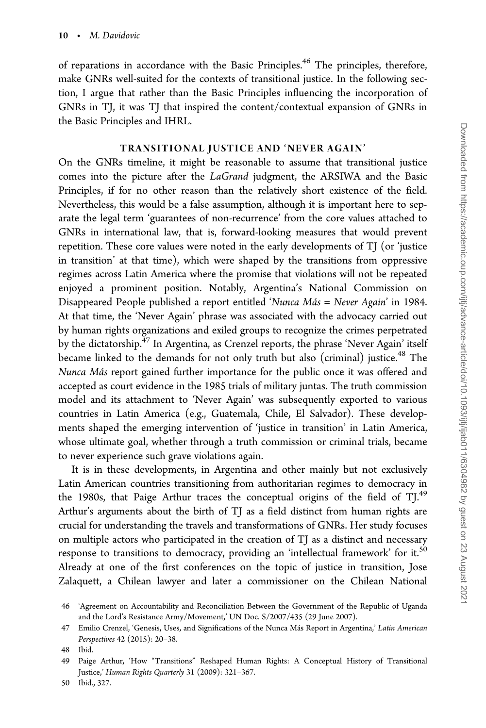of reparations in accordance with the Basic Principles.<sup>46</sup> The principles, therefore, make GNRs well-suited for the contexts of transitional justice. In the following section, I argue that rather than the Basic Principles influencing the incorporation of GNRs in TJ, it was TJ that inspired the content/contextual expansion of GNRs in the Basic Principles and IHRL.

#### TRANSITIONAL JUSTICE AND 'NEVER AGAIN'

On the GNRs timeline, it might be reasonable to assume that transitional justice comes into the picture after the LaGrand judgment, the ARSIWA and the Basic Principles, if for no other reason than the relatively short existence of the field. Nevertheless, this would be a false assumption, although it is important here to separate the legal term 'guarantees of non-recurrence' from the core values attached to GNRs in international law, that is, forward-looking measures that would prevent repetition. These core values were noted in the early developments of TJ (or 'justice in transition' at that time), which were shaped by the transitions from oppressive regimes across Latin America where the promise that violations will not be repeated enjoyed a prominent position. Notably, Argentina's National Commission on Disappeared People published a report entitled 'Nunca  $Más = Never Again'$  in 1984. At that time, the 'Never Again' phrase was associated with the advocacy carried out by human rights organizations and exiled groups to recognize the crimes perpetrated by the dictatorship.<sup>47</sup> In Argentina, as Crenzel reports, the phrase 'Never Again' itself became linked to the demands for not only truth but also (criminal) justice.<sup>48</sup> The Nunca Más report gained further importance for the public once it was offered and accepted as court evidence in the 1985 trials of military juntas. The truth commission model and its attachment to 'Never Again' was subsequently exported to various countries in Latin America (e.g., Guatemala, Chile, El Salvador). These developments shaped the emerging intervention of 'justice in transition' in Latin America, whose ultimate goal, whether through a truth commission or criminal trials, became to never experience such grave violations again.

It is in these developments, in Argentina and other mainly but not exclusively Latin American countries transitioning from authoritarian regimes to democracy in the 1980s, that Paige Arthur traces the conceptual origins of the field of  $TJ^{49}$ Arthur's arguments about the birth of TJ as a field distinct from human rights are crucial for understanding the travels and transformations of GNRs. Her study focuses on multiple actors who participated in the creation of TJ as a distinct and necessary response to transitions to democracy, providing an 'intellectual framework' for it.<sup>50</sup> Already at one of the first conferences on the topic of justice in transition, Jose Zalaquett, a Chilean lawyer and later a commissioner on the Chilean National

<sup>46 &#</sup>x27;Agreement on Accountability and Reconciliation Between the Government of the Republic of Uganda and the Lord's Resistance Army/Movement,' UN Doc. S/2007/435 (29 June 2007).

<sup>47</sup> Emilio Crenzel, 'Genesis, Uses, and Significations of the Nunca Más Report in Argentina,' Latin American Perspectives 42 (2015): 20–38.

<sup>48</sup> Ibid.

<sup>49</sup> Paige Arthur, 'How "Transitions" Reshaped Human Rights: A Conceptual History of Transitional Justice,' Human Rights Quarterly 31 (2009): 321–367.

<sup>50</sup> Ibid., 327.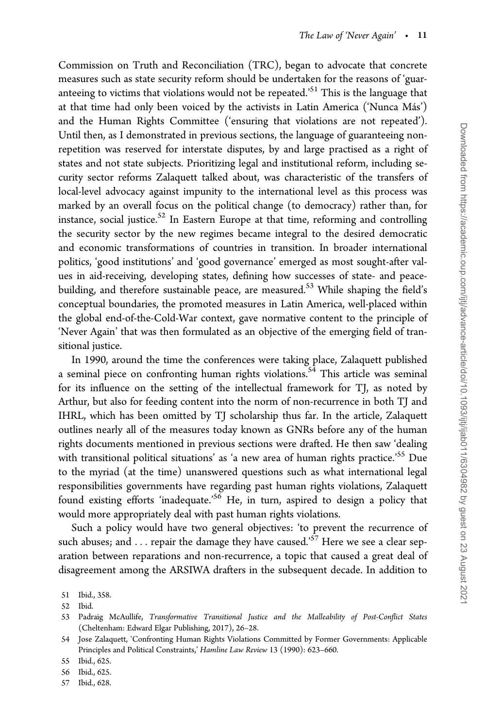Commission on Truth and Reconciliation (TRC), began to advocate that concrete measures such as state security reform should be undertaken for the reasons of 'guaranteeing to victims that violations would not be repeated.'<sup>51</sup> This is the language that at that time had only been voiced by the activists in Latin America ('Nunca Más') and the Human Rights Committee ('ensuring that violations are not repeated'). Until then, as I demonstrated in previous sections, the language of guaranteeing nonrepetition was reserved for interstate disputes, by and large practised as a right of states and not state subjects. Prioritizing legal and institutional reform, including security sector reforms Zalaquett talked about, was characteristic of the transfers of local-level advocacy against impunity to the international level as this process was marked by an overall focus on the political change (to democracy) rather than, for instance, social justice.<sup>52</sup> In Eastern Europe at that time, reforming and controlling the security sector by the new regimes became integral to the desired democratic and economic transformations of countries in transition. In broader international politics, 'good institutions' and 'good governance' emerged as most sought-after values in aid-receiving, developing states, defining how successes of state- and peacebuilding, and therefore sustainable peace, are measured.<sup>53</sup> While shaping the field's conceptual boundaries, the promoted measures in Latin America, well-placed within the global end-of-the-Cold-War context, gave normative content to the principle of 'Never Again' that was then formulated as an objective of the emerging field of transitional justice.

In 1990, around the time the conferences were taking place, Zalaquett published a seminal piece on confronting human rights violations.<sup>54</sup> This article was seminal for its influence on the setting of the intellectual framework for TJ, as noted by Arthur, but also for feeding content into the norm of non-recurrence in both TJ and IHRL, which has been omitted by TJ scholarship thus far. In the article, Zalaquett outlines nearly all of the measures today known as GNRs before any of the human rights documents mentioned in previous sections were drafted. He then saw 'dealing with transitional political situations' as 'a new area of human rights practice.<sup>55</sup> Due to the myriad (at the time) unanswered questions such as what international legal responsibilities governments have regarding past human rights violations, Zalaquett found existing efforts 'inadequate.<sup>56</sup> He, in turn, aspired to design a policy that would more appropriately deal with past human rights violations.

Such a policy would have two general objectives: 'to prevent the recurrence of such abuses; and . . . repair the damage they have caused.'<sup>57</sup> Here we see a clear separation between reparations and non-recurrence, a topic that caused a great deal of disagreement among the ARSIWA drafters in the subsequent decade. In addition to

52 Ibid.

57 Ibid., 628.

<sup>51</sup> Ibid., 358.

<sup>53</sup> Padraig McAullife, Transformative Transitional Justice and the Malleability of Post-Conflict States (Cheltenham: Edward Elgar Publishing, 2017), 26–28.

<sup>54</sup> Jose Zalaquett, 'Confronting Human Rights Violations Committed by Former Governments: Applicable Principles and Political Constraints,' Hamline Law Review 13 (1990): 623–660.

<sup>55</sup> Ibid., 625.

<sup>56</sup> Ibid., 625.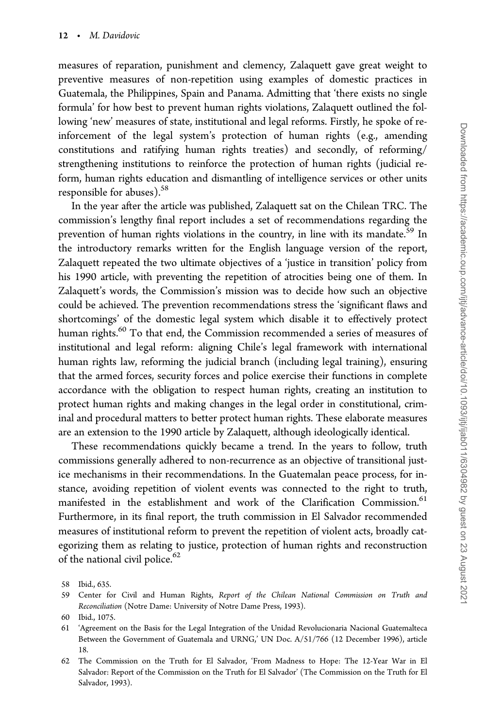measures of reparation, punishment and clemency, Zalaquett gave great weight to preventive measures of non-repetition using examples of domestic practices in Guatemala, the Philippines, Spain and Panama. Admitting that 'there exists no single formula' for how best to prevent human rights violations, Zalaquett outlined the following 'new' measures of state, institutional and legal reforms. Firstly, he spoke of reinforcement of the legal system's protection of human rights (e.g., amending constitutions and ratifying human rights treaties) and secondly, of reforming/ strengthening institutions to reinforce the protection of human rights (judicial reform, human rights education and dismantling of intelligence services or other units responsible for abuses). $58$ 

In the year after the article was published, Zalaquett sat on the Chilean TRC. The commission's lengthy final report includes a set of recommendations regarding the prevention of human rights violations in the country, in line with its mandate.<sup>59</sup> In the introductory remarks written for the English language version of the report, Zalaquett repeated the two ultimate objectives of a 'justice in transition' policy from his 1990 article, with preventing the repetition of atrocities being one of them. In Zalaquett's words, the Commission's mission was to decide how such an objective could be achieved. The prevention recommendations stress the 'significant flaws and shortcomings' of the domestic legal system which disable it to effectively protect human rights.<sup>60</sup> To that end, the Commission recommended a series of measures of institutional and legal reform: aligning Chile's legal framework with international human rights law, reforming the judicial branch (including legal training), ensuring that the armed forces, security forces and police exercise their functions in complete accordance with the obligation to respect human rights, creating an institution to protect human rights and making changes in the legal order in constitutional, criminal and procedural matters to better protect human rights. These elaborate measures are an extension to the 1990 article by Zalaquett, although ideologically identical.

These recommendations quickly became a trend. In the years to follow, truth commissions generally adhered to non-recurrence as an objective of transitional justice mechanisms in their recommendations. In the Guatemalan peace process, for instance, avoiding repetition of violent events was connected to the right to truth, manifested in the establishment and work of the Clarification Commission.<sup>61</sup> Furthermore, in its final report, the truth commission in El Salvador recommended measures of institutional reform to prevent the repetition of violent acts, broadly categorizing them as relating to justice, protection of human rights and reconstruction of the national civil police.<sup>62</sup>

<sup>58</sup> Ibid., 635.

<sup>59</sup> Center for Civil and Human Rights, Report of the Chilean National Commission on Truth and Reconciliation (Notre Dame: University of Notre Dame Press, 1993).

<sup>60</sup> Ibid., 1075.

<sup>61 &#</sup>x27;Agreement on the Basis for the Legal Integration of the Unidad Revolucionaria Nacional Guatemalteca Between the Government of Guatemala and URNG,' UN Doc. A/51/766 (12 December 1996), article 18.

<sup>62</sup> The Commission on the Truth for El Salvador, 'From Madness to Hope: The 12-Year War in El Salvador: Report of the Commission on the Truth for El Salvador' (The Commission on the Truth for El Salvador, 1993).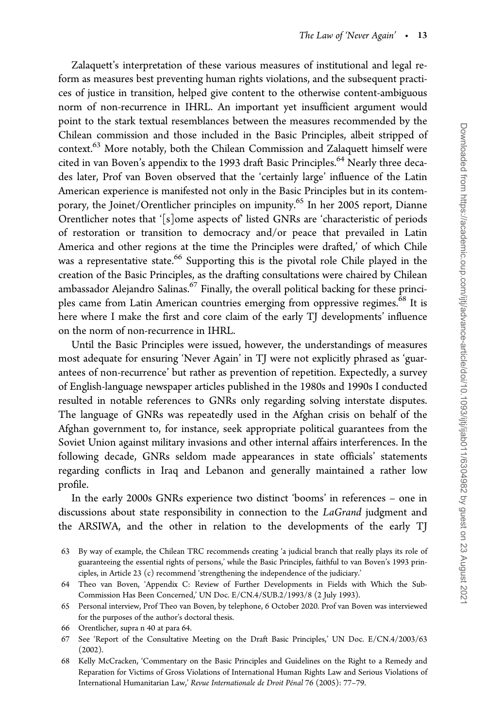Zalaquett's interpretation of these various measures of institutional and legal reform as measures best preventing human rights violations, and the subsequent practices of justice in transition, helped give content to the otherwise content-ambiguous norm of non-recurrence in IHRL. An important yet insufficient argument would point to the stark textual resemblances between the measures recommended by the Chilean commission and those included in the Basic Principles, albeit stripped of context.<sup>63</sup> More notably, both the Chilean Commission and Zalaquett himself were cited in van Boven's appendix to the 1993 draft Basic Principles.<sup>64</sup> Nearly three decades later, Prof van Boven observed that the 'certainly large' influence of the Latin American experience is manifested not only in the Basic Principles but in its contemporary, the Joinet/Orentlicher principles on impunity.65 In her 2005 report, Dianne Orentlicher notes that '[s]ome aspects of' listed GNRs are 'characteristic of periods of restoration or transition to democracy and/or peace that prevailed in Latin America and other regions at the time the Principles were drafted,' of which Chile was a representative state.<sup>66</sup> Supporting this is the pivotal role Chile played in the creation of the Basic Principles, as the drafting consultations were chaired by Chilean ambassador Alejandro Salinas.<sup>67</sup> Finally, the overall political backing for these principles came from Latin American countries emerging from oppressive regimes.<sup>68</sup> It is here where I make the first and core claim of the early TJ developments' influence on the norm of non-recurrence in IHRL.

Until the Basic Principles were issued, however, the understandings of measures most adequate for ensuring 'Never Again' in TJ were not explicitly phrased as 'guarantees of non-recurrence' but rather as prevention of repetition. Expectedly, a survey of English-language newspaper articles published in the 1980s and 1990s I conducted resulted in notable references to GNRs only regarding solving interstate disputes. The language of GNRs was repeatedly used in the Afghan crisis on behalf of the Afghan government to, for instance, seek appropriate political guarantees from the Soviet Union against military invasions and other internal affairs interferences. In the following decade, GNRs seldom made appearances in state officials' statements regarding conflicts in Iraq and Lebanon and generally maintained a rather low profile.

In the early 2000s GNRs experience two distinct 'booms' in references – one in discussions about state responsibility in connection to the LaGrand judgment and the ARSIWA, and the other in relation to the developments of the early TJ

- 65 Personal interview, Prof Theo van Boven, by telephone, 6 October 2020. Prof van Boven was interviewed for the purposes of the author's doctoral thesis.
- 66 Orentlicher, supra n 40 at para 64.
- 67 See 'Report of the Consultative Meeting on the Draft Basic Principles,' UN Doc. E/CN.4/2003/63 (2002).
- 68 Kelly McCracken, 'Commentary on the Basic Principles and Guidelines on the Right to a Remedy and Reparation for Victims of Gross Violations of International Human Rights Law and Serious Violations of International Humanitarian Law,' Revue Internationale de Droit Pénal 76 (2005): 77-79.

<sup>63</sup> By way of example, the Chilean TRC recommends creating 'a judicial branch that really plays its role of guaranteeing the essential rights of persons,' while the Basic Principles, faithful to van Boven's 1993 principles, in Article 23 (c) recommend 'strengthening the independence of the judiciary.'

<sup>64</sup> Theo van Boven, 'Appendix C: Review of Further Developments in Fields with Which the Sub-Commission Has Been Concerned,' UN Doc. E/CN.4/SUB.2/1993/8 (2 July 1993).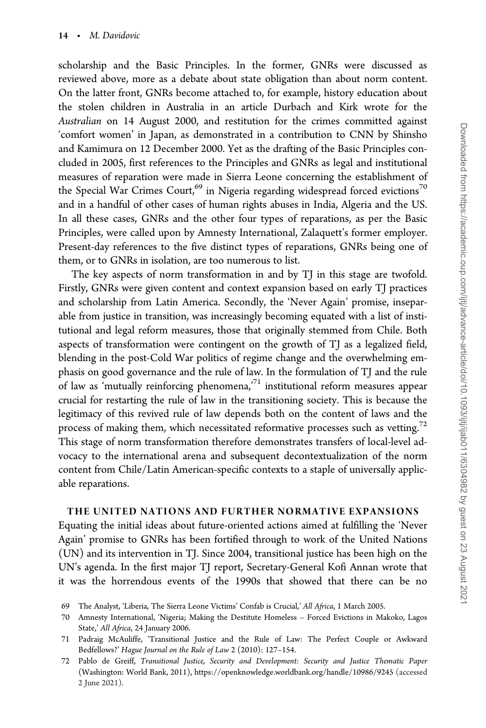scholarship and the Basic Principles. In the former, GNRs were discussed as reviewed above, more as a debate about state obligation than about norm content. On the latter front, GNRs become attached to, for example, history education about the stolen children in Australia in an article Durbach and Kirk wrote for the Australian on 14 August 2000, and restitution for the crimes committed against 'comfort women' in Japan, as demonstrated in a contribution to CNN by Shinsho and Kamimura on 12 December 2000. Yet as the drafting of the Basic Principles concluded in 2005, first references to the Principles and GNRs as legal and institutional measures of reparation were made in Sierra Leone concerning the establishment of the Special War Crimes Court,<sup>69</sup> in Nigeria regarding widespread forced evictions<sup>70</sup> and in a handful of other cases of human rights abuses in India, Algeria and the US. In all these cases, GNRs and the other four types of reparations, as per the Basic Principles, were called upon by Amnesty International, Zalaquett's former employer. Present-day references to the five distinct types of reparations, GNRs being one of them, or to GNRs in isolation, are too numerous to list.

The key aspects of norm transformation in and by TJ in this stage are twofold. Firstly, GNRs were given content and context expansion based on early TJ practices and scholarship from Latin America. Secondly, the 'Never Again' promise, inseparable from justice in transition, was increasingly becoming equated with a list of institutional and legal reform measures, those that originally stemmed from Chile. Both aspects of transformation were contingent on the growth of TJ as a legalized field, blending in the post-Cold War politics of regime change and the overwhelming emphasis on good governance and the rule of law. In the formulation of TJ and the rule of law as 'mutually reinforcing phenomena,'71 institutional reform measures appear crucial for restarting the rule of law in the transitioning society. This is because the legitimacy of this revived rule of law depends both on the content of laws and the process of making them, which necessitated reformative processes such as vetting.<sup>72</sup> This stage of norm transformation therefore demonstrates transfers of local-level advocacy to the international arena and subsequent decontextualization of the norm content from Chile/Latin American-specific contexts to a staple of universally applicable reparations.

#### THE UNITED NATIONS AND FURTHER NORMATIVE EXPANSIONS

Equating the initial ideas about future-oriented actions aimed at fulfilling the 'Never Again' promise to GNRs has been fortified through to work of the United Nations (UN) and its intervention in TJ. Since 2004, transitional justice has been high on the UN's agenda. In the first major TJ report, Secretary-General Kofi Annan wrote that it was the horrendous events of the 1990s that showed that there can be no

<sup>69</sup> The Analyst, 'Liberia, The Sierra Leone Victims' Confab is Crucial,' All Africa, 1 March 2005.

<sup>70</sup> Amnesty International, 'Nigeria; Making the Destitute Homeless – Forced Evictions in Makoko, Lagos State,' All Africa, 24 January 2006.

<sup>71</sup> Padraig McAuliffe, 'Transitional Justice and the Rule of Law: The Perfect Couple or Awkward Bedfellows?' Hague Journal on the Rule of Law 2 (2010): 127–154.

<sup>72</sup> Pablo de Greiff, Transitional Justice, Security and Development: Security and Justice Thematic Paper (Washington: World Bank, 2011),<https://openknowledge.worldbank.org/handle/10986/9245> (accessed 2 June 2021).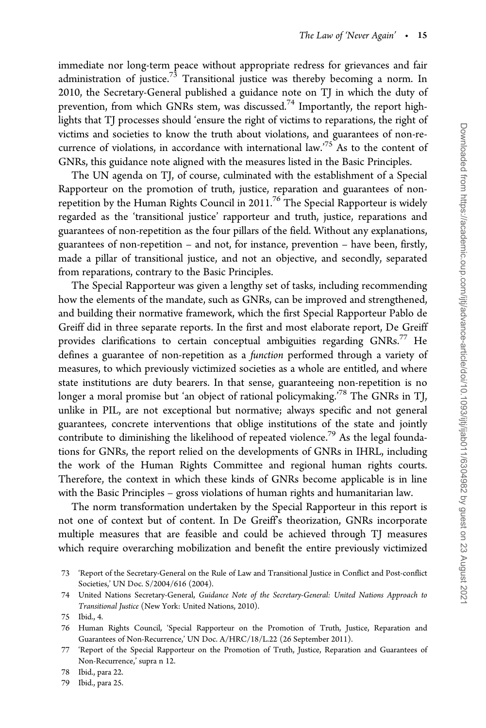immediate nor long-term peace without appropriate redress for grievances and fair administration of justice.<sup>73</sup> Transitional justice was thereby becoming a norm. In 2010, the Secretary-General published a guidance note on TJ in which the duty of prevention, from which GNRs stem, was discussed.<sup>74</sup> Importantly, the report highlights that TJ processes should 'ensure the right of victims to reparations, the right of victims and societies to know the truth about violations, and guarantees of non-recurrence of violations, in accordance with international law.<sup>75</sup> As to the content of GNRs, this guidance note aligned with the measures listed in the Basic Principles.

The UN agenda on TJ, of course, culminated with the establishment of a Special Rapporteur on the promotion of truth, justice, reparation and guarantees of nonrepetition by the Human Rights Council in  $2011$ .<sup>76</sup> The Special Rapporteur is widely regarded as the 'transitional justice' rapporteur and truth, justice, reparations and guarantees of non-repetition as the four pillars of the field. Without any explanations, guarantees of non-repetition – and not, for instance, prevention – have been, firstly, made a pillar of transitional justice, and not an objective, and secondly, separated from reparations, contrary to the Basic Principles.

The Special Rapporteur was given a lengthy set of tasks, including recommending how the elements of the mandate, such as GNRs, can be improved and strengthened, and building their normative framework, which the first Special Rapporteur Pablo de Greiff did in three separate reports. In the first and most elaborate report, De Greiff provides clarifications to certain conceptual ambiguities regarding  $GNRs.^{77}$  He defines a guarantee of non-repetition as a function performed through a variety of measures, to which previously victimized societies as a whole are entitled, and where state institutions are duty bearers. In that sense, guaranteeing non-repetition is no longer a moral promise but 'an object of rational policymaking.<sup>'78</sup> The GNRs in TJ, unlike in PIL, are not exceptional but normative; always specific and not general guarantees, concrete interventions that oblige institutions of the state and jointly contribute to diminishing the likelihood of repeated violence.<sup>79</sup> As the legal foundations for GNRs, the report relied on the developments of GNRs in IHRL, including the work of the Human Rights Committee and regional human rights courts. Therefore, the context in which these kinds of GNRs become applicable is in line with the Basic Principles – gross violations of human rights and humanitarian law.

The norm transformation undertaken by the Special Rapporteur in this report is not one of context but of content. In De Greiff's theorization, GNRs incorporate multiple measures that are feasible and could be achieved through TJ measures which require overarching mobilization and benefit the entire previously victimized

<sup>73 &#</sup>x27;Report of the Secretary-General on the Rule of Law and Transitional Justice in Conflict and Post-conflict Societies,' UN Doc. S/2004/616 (2004).

<sup>74</sup> United Nations Secretary-General, Guidance Note of the Secretary-General: United Nations Approach to Transitional Justice (New York: United Nations, 2010).

<sup>75</sup> Ibid., 4.

<sup>76</sup> Human Rights Council, 'Special Rapporteur on the Promotion of Truth, Justice, Reparation and Guarantees of Non-Recurrence,' UN Doc. A/HRC/18/L.22 (26 September 2011).

<sup>77 &#</sup>x27;Report of the Special Rapporteur on the Promotion of Truth, Justice, Reparation and Guarantees of Non-Recurrence,' supra n 12.

<sup>78</sup> Ibid., para 22.

<sup>79</sup> Ibid., para 25.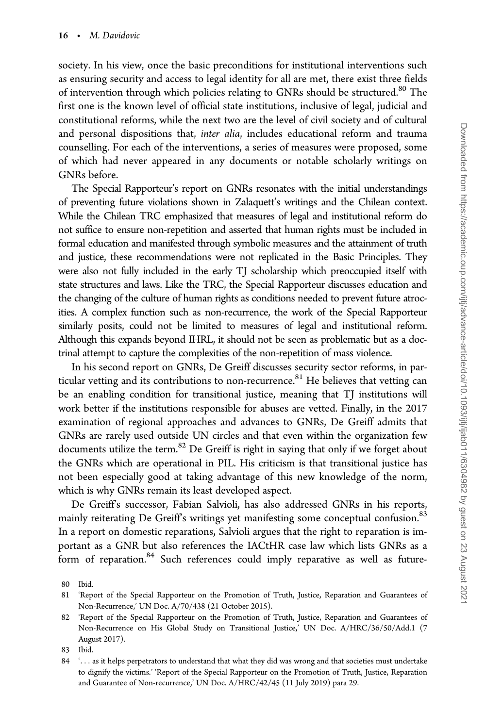society. In his view, once the basic preconditions for institutional interventions such as ensuring security and access to legal identity for all are met, there exist three fields of intervention through which policies relating to GNRs should be structured.<sup>80</sup> The first one is the known level of official state institutions, inclusive of legal, judicial and constitutional reforms, while the next two are the level of civil society and of cultural and personal dispositions that, inter alia, includes educational reform and trauma counselling. For each of the interventions, a series of measures were proposed, some of which had never appeared in any documents or notable scholarly writings on GNRs before.

The Special Rapporteur's report on GNRs resonates with the initial understandings of preventing future violations shown in Zalaquett's writings and the Chilean context. While the Chilean TRC emphasized that measures of legal and institutional reform do not suffice to ensure non-repetition and asserted that human rights must be included in formal education and manifested through symbolic measures and the attainment of truth and justice, these recommendations were not replicated in the Basic Principles. They were also not fully included in the early TJ scholarship which preoccupied itself with state structures and laws. Like the TRC, the Special Rapporteur discusses education and the changing of the culture of human rights as conditions needed to prevent future atrocities. A complex function such as non-recurrence, the work of the Special Rapporteur similarly posits, could not be limited to measures of legal and institutional reform. Although this expands beyond IHRL, it should not be seen as problematic but as a doctrinal attempt to capture the complexities of the non-repetition of mass violence.

In his second report on GNRs, De Greiff discusses security sector reforms, in particular vetting and its contributions to non-recurrence.<sup>81</sup> He believes that vetting can be an enabling condition for transitional justice, meaning that TJ institutions will work better if the institutions responsible for abuses are vetted. Finally, in the 2017 examination of regional approaches and advances to GNRs, De Greiff admits that GNRs are rarely used outside UN circles and that even within the organization few documents utilize the term.<sup>82</sup> De Greiff is right in saying that only if we forget about the GNRs which are operational in PIL. His criticism is that transitional justice has not been especially good at taking advantage of this new knowledge of the norm, which is why GNRs remain its least developed aspect.

De Greiff's successor, Fabian Salvioli, has also addressed GNRs in his reports, mainly reiterating De Greiff's writings yet manifesting some conceptual confusion.<sup>83</sup> In a report on domestic reparations, Salvioli argues that the right to reparation is important as a GNR but also references the IACtHR case law which lists GNRs as a form of reparation.<sup>84</sup> Such references could imply reparative as well as future-

<sup>80</sup> Ibid.

<sup>81 &#</sup>x27;Report of the Special Rapporteur on the Promotion of Truth, Justice, Reparation and Guarantees of Non-Recurrence,' UN Doc. A/70/438 (21 October 2015).

<sup>82 &#</sup>x27;Report of the Special Rapporteur on the Promotion of Truth, Justice, Reparation and Guarantees of Non-Recurrence on His Global Study on Transitional Justice,' UN Doc. A/HRC/36/50/Add.1 (7 August 2017).

<sup>83</sup> Ibid.

<sup>84 &#</sup>x27;... as it helps perpetrators to understand that what they did was wrong and that societies must undertake to dignify the victims.' 'Report of the Special Rapporteur on the Promotion of Truth, Justice, Reparation and Guarantee of Non-recurrence,' UN Doc. A/HRC/42/45 (11 July 2019) para 29.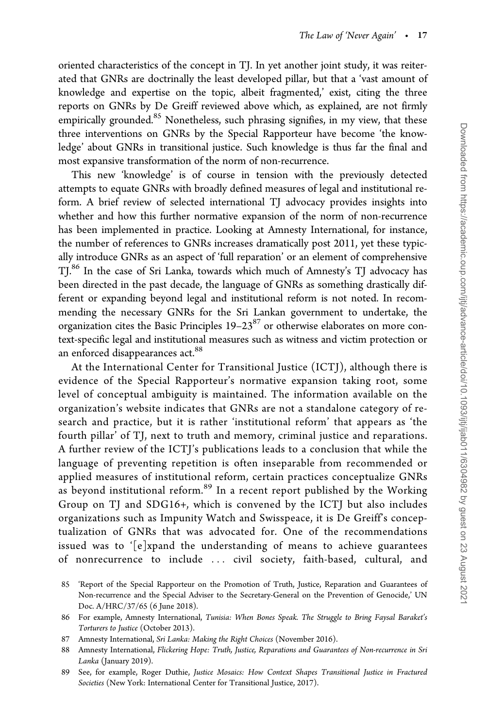oriented characteristics of the concept in TJ. In yet another joint study, it was reiterated that GNRs are doctrinally the least developed pillar, but that a 'vast amount of knowledge and expertise on the topic, albeit fragmented,' exist, citing the three reports on GNRs by De Greiff reviewed above which, as explained, are not firmly empirically grounded.<sup>85</sup> Nonetheless, such phrasing signifies, in my view, that these three interventions on GNRs by the Special Rapporteur have become 'the knowledge' about GNRs in transitional justice. Such knowledge is thus far the final and most expansive transformation of the norm of non-recurrence.

This new 'knowledge' is of course in tension with the previously detected attempts to equate GNRs with broadly defined measures of legal and institutional reform. A brief review of selected international TJ advocacy provides insights into whether and how this further normative expansion of the norm of non-recurrence has been implemented in practice. Looking at Amnesty International, for instance, the number of references to GNRs increases dramatically post 2011, yet these typically introduce GNRs as an aspect of 'full reparation' or an element of comprehensive TI.<sup>86</sup> In the case of Sri Lanka, towards which much of Amnesty's TJ advocacy has been directed in the past decade, the language of GNRs as something drastically different or expanding beyond legal and institutional reform is not noted. In recommending the necessary GNRs for the Sri Lankan government to undertake, the organization cites the Basic Principles 19–2387 or otherwise elaborates on more context-specific legal and institutional measures such as witness and victim protection or an enforced disappearances act.<sup>88</sup>

At the International Center for Transitional Justice (ICTJ), although there is evidence of the Special Rapporteur's normative expansion taking root, some level of conceptual ambiguity is maintained. The information available on the organization's website indicates that GNRs are not a standalone category of research and practice, but it is rather 'institutional reform' that appears as 'the fourth pillar' of TJ, next to truth and memory, criminal justice and reparations. A further review of the ICTJ's publications leads to a conclusion that while the language of preventing repetition is often inseparable from recommended or applied measures of institutional reform, certain practices conceptualize GNRs as beyond institutional reform.<sup>89</sup> In a recent report published by the Working Group on TJ and SDG16+, which is convened by the ICTJ but also includes organizations such as Impunity Watch and Swisspeace, it is De Greiff's conceptualization of GNRs that was advocated for. One of the recommendations issued was to '[e]xpand the understanding of means to achieve guarantees of nonrecurrence to include ... civil society, faith-based, cultural, and

<sup>85 &#</sup>x27;Report of the Special Rapporteur on the Promotion of Truth, Justice, Reparation and Guarantees of Non-recurrence and the Special Adviser to the Secretary-General on the Prevention of Genocide,' UN Doc. A/HRC/37/65 (6 June 2018).

<sup>86</sup> For example, Amnesty International, Tunisia: When Bones Speak. The Struggle to Bring Faysal Baraket's Torturers to Justice (October 2013).

<sup>87</sup> Amnesty International, Sri Lanka: Making the Right Choices (November 2016).

<sup>88</sup> Amnesty International, Flickering Hope: Truth, Justice, Reparations and Guarantees of Non-recurrence in Sri Lanka (January 2019).

<sup>89</sup> See, for example, Roger Duthie, Justice Mosaics: How Context Shapes Transitional Justice in Fractured Societies (New York: International Center for Transitional Justice, 2017).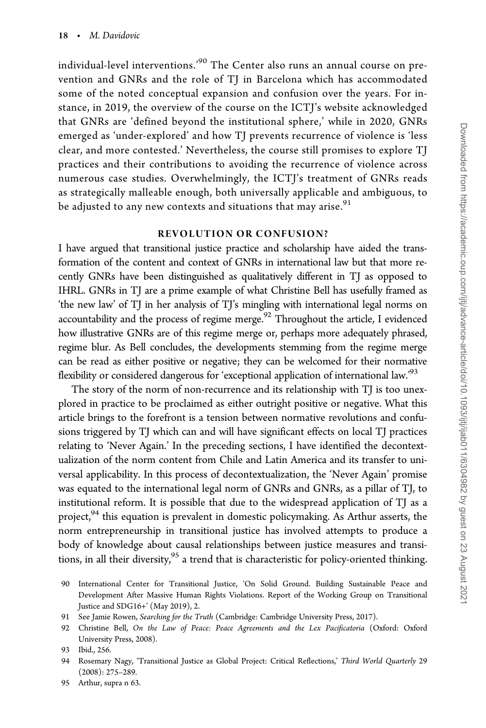individual-level interventions.'<sup>90</sup> The Center also runs an annual course on prevention and GNRs and the role of TJ in Barcelona which has accommodated some of the noted conceptual expansion and confusion over the years. For instance, in 2019, the overview of the course on the ICTJ's website acknowledged that GNRs are 'defined beyond the institutional sphere,' while in 2020, GNRs emerged as 'under-explored' and how TJ prevents recurrence of violence is 'less clear, and more contested.' Nevertheless, the course still promises to explore TJ practices and their contributions to avoiding the recurrence of violence across numerous case studies. Overwhelmingly, the ICTJ's treatment of GNRs reads as strategically malleable enough, both universally applicable and ambiguous, to be adjusted to any new contexts and situations that may arise. $91$ 

#### REVOLUTION OR CONFUSION?

I have argued that transitional justice practice and scholarship have aided the transformation of the content and context of GNRs in international law but that more recently GNRs have been distinguished as qualitatively different in TJ as opposed to IHRL. GNRs in TJ are a prime example of what Christine Bell has usefully framed as 'the new law' of TJ in her analysis of TJ's mingling with international legal norms on accountability and the process of regime merge. $92$  Throughout the article, I evidenced how illustrative GNRs are of this regime merge or, perhaps more adequately phrased, regime blur. As Bell concludes, the developments stemming from the regime merge can be read as either positive or negative; they can be welcomed for their normative flexibility or considered dangerous for 'exceptional application of international law.<sup>93</sup>

The story of the norm of non-recurrence and its relationship with TJ is too unexplored in practice to be proclaimed as either outright positive or negative. What this article brings to the forefront is a tension between normative revolutions and confusions triggered by TJ which can and will have significant effects on local TJ practices relating to 'Never Again.' In the preceding sections, I have identified the decontextualization of the norm content from Chile and Latin America and its transfer to universal applicability. In this process of decontextualization, the 'Never Again' promise was equated to the international legal norm of GNRs and GNRs, as a pillar of TJ, to institutional reform. It is possible that due to the widespread application of TJ as a project, $94$ <sup>4</sup> this equation is prevalent in domestic policymaking. As Arthur asserts, the norm entrepreneurship in transitional justice has involved attempts to produce a body of knowledge about causal relationships between justice measures and transitions, in all their diversity,<sup>95</sup> a trend that is characteristic for policy-oriented thinking.

- 91 See Jamie Rowen, Searching for the Truth (Cambridge: Cambridge University Press, 2017).
- 92 Christine Bell, On the Law of Peace: Peace Agreements and the Lex Pacificatoria (Oxford: Oxford University Press, 2008).

- 94 Rosemary Nagy, 'Transitional Justice as Global Project: Critical Reflections,' Third World Quarterly 29 (2008): 275–289.
- 95 Arthur, supra n 63.

<sup>90</sup> International Center for Transitional Justice, 'On Solid Ground. Building Sustainable Peace and Development After Massive Human Rights Violations. Report of the Working Group on Transitional Justice and SDG16+' (May 2019), 2.

<sup>93</sup> Ibid., 256.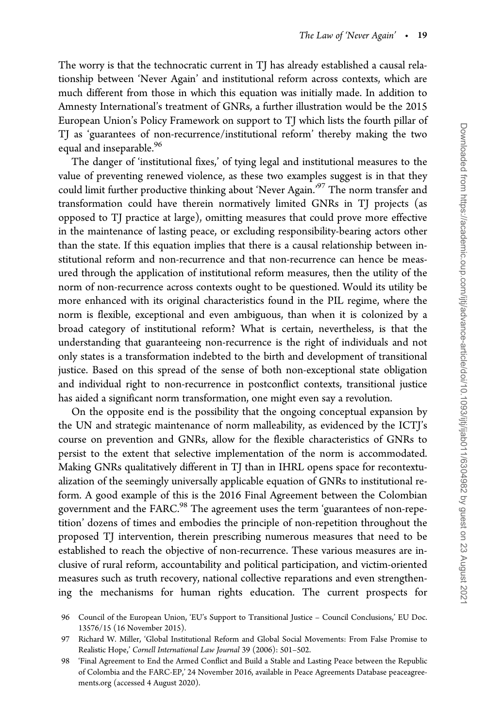The worry is that the technocratic current in TJ has already established a causal relationship between 'Never Again' and institutional reform across contexts, which are much different from those in which this equation was initially made. In addition to Amnesty International's treatment of GNRs, a further illustration would be the 2015 European Union's Policy Framework on support to TJ which lists the fourth pillar of TJ as 'guarantees of non-recurrence/institutional reform' thereby making the two equal and inseparable.<sup>96</sup>

The danger of 'institutional fixes,' of tying legal and institutional measures to the value of preventing renewed violence, as these two examples suggest is in that they could limit further productive thinking about 'Never Again.'<sup>97</sup> The norm transfer and transformation could have therein normatively limited GNRs in TJ projects (as opposed to TJ practice at large), omitting measures that could prove more effective in the maintenance of lasting peace, or excluding responsibility-bearing actors other than the state. If this equation implies that there is a causal relationship between institutional reform and non-recurrence and that non-recurrence can hence be measured through the application of institutional reform measures, then the utility of the norm of non-recurrence across contexts ought to be questioned. Would its utility be more enhanced with its original characteristics found in the PIL regime, where the norm is flexible, exceptional and even ambiguous, than when it is colonized by a broad category of institutional reform? What is certain, nevertheless, is that the understanding that guaranteeing non-recurrence is the right of individuals and not only states is a transformation indebted to the birth and development of transitional justice. Based on this spread of the sense of both non-exceptional state obligation and individual right to non-recurrence in postconflict contexts, transitional justice has aided a significant norm transformation, one might even say a revolution.

On the opposite end is the possibility that the ongoing conceptual expansion by the UN and strategic maintenance of norm malleability, as evidenced by the ICTJ's course on prevention and GNRs, allow for the flexible characteristics of GNRs to persist to the extent that selective implementation of the norm is accommodated. Making GNRs qualitatively different in TJ than in IHRL opens space for recontextualization of the seemingly universally applicable equation of GNRs to institutional reform. A good example of this is the 2016 Final Agreement between the Colombian government and the FARC.<sup>98</sup> The agreement uses the term 'guarantees of non-repetition' dozens of times and embodies the principle of non-repetition throughout the proposed TJ intervention, therein prescribing numerous measures that need to be established to reach the objective of non-recurrence. These various measures are inclusive of rural reform, accountability and political participation, and victim-oriented measures such as truth recovery, national collective reparations and even strengthening the mechanisms for human rights education. The current prospects for

<sup>96</sup> Council of the European Union, 'EU's Support to Transitional Justice – Council Conclusions,' EU Doc. 13576/15 (16 November 2015).

<sup>97</sup> Richard W. Miller, 'Global Institutional Reform and Global Social Movements: From False Promise to Realistic Hope,' Cornell International Law Journal 39 (2006): 501–502.

<sup>98 &#</sup>x27;Final Agreement to End the Armed Conflict and Build a Stable and Lasting Peace between the Republic of Colombia and the FARC-EP,' 24 November 2016, available in Peace Agreements Database peaceagreements.org (accessed 4 August 2020).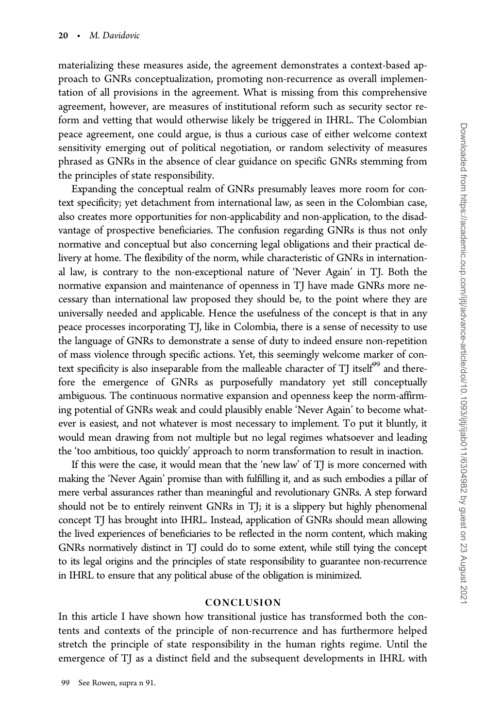materializing these measures aside, the agreement demonstrates a context-based approach to GNRs conceptualization, promoting non-recurrence as overall implementation of all provisions in the agreement. What is missing from this comprehensive agreement, however, are measures of institutional reform such as security sector reform and vetting that would otherwise likely be triggered in IHRL. The Colombian peace agreement, one could argue, is thus a curious case of either welcome context sensitivity emerging out of political negotiation, or random selectivity of measures phrased as GNRs in the absence of clear guidance on specific GNRs stemming from the principles of state responsibility.

Expanding the conceptual realm of GNRs presumably leaves more room for context specificity; yet detachment from international law, as seen in the Colombian case, also creates more opportunities for non-applicability and non-application, to the disadvantage of prospective beneficiaries. The confusion regarding GNRs is thus not only normative and conceptual but also concerning legal obligations and their practical delivery at home. The flexibility of the norm, while characteristic of GNRs in international law, is contrary to the non-exceptional nature of 'Never Again' in TJ. Both the normative expansion and maintenance of openness in TJ have made GNRs more necessary than international law proposed they should be, to the point where they are universally needed and applicable. Hence the usefulness of the concept is that in any peace processes incorporating TJ, like in Colombia, there is a sense of necessity to use the language of GNRs to demonstrate a sense of duty to indeed ensure non-repetition of mass violence through specific actions. Yet, this seemingly welcome marker of context specificity is also inseparable from the malleable character of TJ itself $99$  and therefore the emergence of GNRs as purposefully mandatory yet still conceptually ambiguous. The continuous normative expansion and openness keep the norm-affirming potential of GNRs weak and could plausibly enable 'Never Again' to become whatever is easiest, and not whatever is most necessary to implement. To put it bluntly, it would mean drawing from not multiple but no legal regimes whatsoever and leading the 'too ambitious, too quickly' approach to norm transformation to result in inaction.

If this were the case, it would mean that the 'new law' of TJ is more concerned with making the 'Never Again' promise than with fulfilling it, and as such embodies a pillar of mere verbal assurances rather than meaningful and revolutionary GNRs. A step forward should not be to entirely reinvent GNRs in TJ; it is a slippery but highly phenomenal concept TJ has brought into IHRL. Instead, application of GNRs should mean allowing the lived experiences of beneficiaries to be reflected in the norm content, which making GNRs normatively distinct in TJ could do to some extent, while still tying the concept to its legal origins and the principles of state responsibility to guarantee non-recurrence in IHRL to ensure that any political abuse of the obligation is minimized.

#### CONCLUSION

In this article I have shown how transitional justice has transformed both the contents and contexts of the principle of non-recurrence and has furthermore helped stretch the principle of state responsibility in the human rights regime. Until the emergence of TJ as a distinct field and the subsequent developments in IHRL with